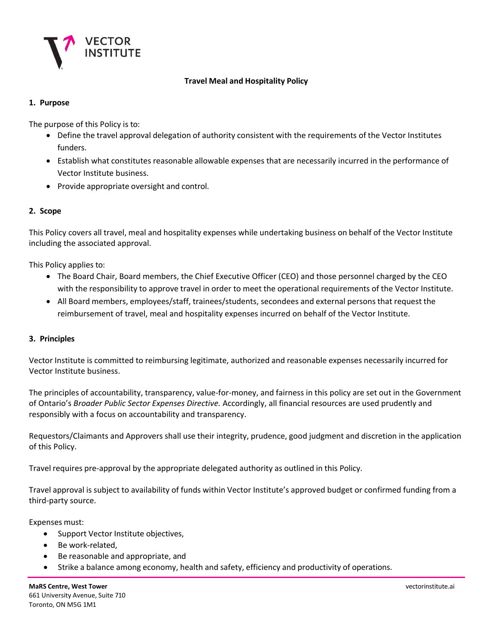

# **Travel Meal and Hospitality Policy**

# **1. Purpose**

The purpose of this Policy is to:

- Define the travel approval delegation of authority consistent with the requirements of the Vector Institutes funders.
- Establish what constitutes reasonable allowable expenses that are necessarily incurred in the performance of Vector Institute business.
- Provide appropriate oversight and control.

# **2. Scope**

This Policy covers all travel, meal and hospitality expenses while undertaking business on behalf of the Vector Institute including the associated approval.

This Policy applies to:

- The Board Chair, Board members, the Chief Executive Officer (CEO) and those personnel charged by the CEO with the responsibility to approve travel in order to meet the operational requirements of the Vector Institute.
- All Board members, employees/staff, trainees/students, secondees and external persons that request the reimbursement of travel, meal and hospitality expenses incurred on behalf of the Vector Institute.

# **3. Principles**

Vector Institute is committed to reimbursing legitimate, authorized and reasonable expenses necessarily incurred for Vector Institute business.

The principles of accountability, transparency, value-for-money, and fairness in this policy are set out in the Government of Ontario's *Broader Public Sector Expenses Directive.* Accordingly, all financial resources are used prudently and responsibly with a focus on accountability and transparency.

Requestors/Claimants and Approvers shall use their integrity, prudence, good judgment and discretion in the application of this Policy.

Travel requires pre-approval by the appropriate delegated authority as outlined in this Policy.

Travel approval is subject to availability of funds within Vector Institute's approved budget or confirmed funding from a third-party source.

Expenses must:

- Support Vector Institute objectives,
- Be work-related,
- Be reasonable and appropriate, and
- Strike a balance among economy, health and safety, efficiency and productivity of operations.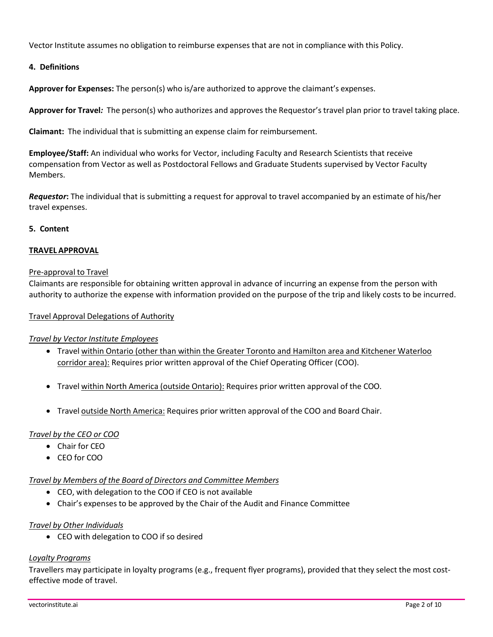Vector Institute assumes no obligation to reimburse expenses that are not in compliance with this Policy.

### **4. Definitions**

**Approver for Expenses:** The person(s) who is/are authorized to approve the claimant's expenses.

**Approver for Travel***:* The person(s) who authorizes and approves the Requestor's travel plan prior to travel taking place.

**Claimant:** The individual that is submitting an expense claim for reimbursement.

**Employee/Staff:** An individual who works for Vector, including Faculty and Research Scientists that receive compensation from Vector as well as Postdoctoral Fellows and Graduate Students supervised by Vector Faculty Members.

*Requestor***:** The individual that is submitting a request for approval to travel accompanied by an estimate of his/her travel expenses.

#### **5. Content**

### **TRAVEL APPROVAL**

#### Pre-approval to Travel

Claimants are responsible for obtaining written approval in advance of incurring an expense from the person with authority to authorize the expense with information provided on the purpose of the trip and likely costs to be incurred.

#### Travel Approval Delegations of Authority

#### *Travel by Vector Institute Employees*

- Travel within Ontario (other than within the Greater Toronto and Hamilton area and Kitchener Waterloo corridor area): Requires prior written approval of the Chief Operating Officer (COO).
- Travel within North America (outside Ontario): Requires prior written approval of the COO.
- Travel outside North America: Requires prior written approval of the COO and Board Chair.

#### *Travel by the CEO or COO*

- Chair for CEO
- CEO for COO

#### *Travel by Members of the Board of Directors and Committee Members*

- CEO, with delegation to the COO if CEO is not available
- Chair's expenses to be approved by the Chair of the Audit and Finance Committee

#### *Travel by Other Individuals*

• CEO with delegation to COO if so desired

#### *Loyalty Programs*

Travellers may participate in loyalty programs (e.g., frequent flyer programs), provided that they select the most costeffective mode of travel.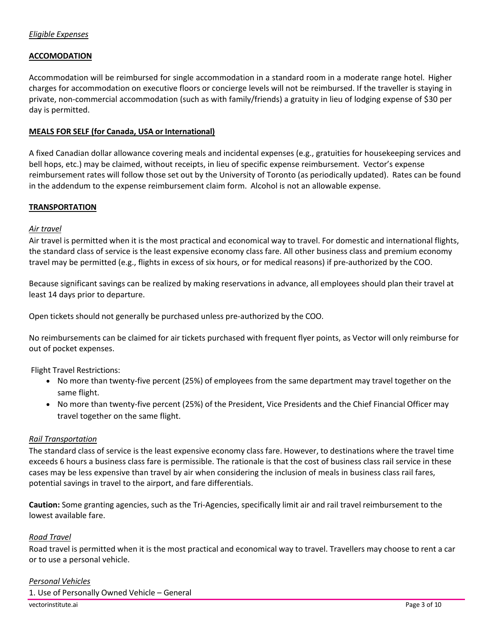### **ACCOMODATION**

Accommodation will be reimbursed for single accommodation in a standard room in a moderate range hotel. Higher charges for accommodation on executive floors or concierge levels will not be reimbursed. If the traveller is staying in private, non-commercial accommodation (such as with family/friends) a gratuity in lieu of lodging expense of \$30 per day is permitted.

#### **MEALS FOR SELF (for Canada, USA or International)**

A fixed Canadian dollar allowance covering meals and incidental expenses (e.g., gratuities for housekeeping services and bell hops, etc.) may be claimed, without receipts, in lieu of specific expense reimbursement. Vector's expense reimbursement rates will follow those set out by the University of Toronto (as periodically updated). Rates can be found in the addendum to the expense reimbursement claim form. Alcohol is not an allowable expense.

#### **TRANSPORTATION**

#### *Air travel*

Air travel is permitted when it is the most practical and economical way to travel. For domestic and international flights, the standard class of service is the least expensive economy class fare. All other business class and premium economy travel may be permitted (e.g., flights in excess of six hours, or for medical reasons) if pre-authorized by the COO.

Because significant savings can be realized by making reservations in advance, all employees should plan their travel at least 14 days prior to departure.

Open tickets should not generally be purchased unless pre-authorized by the COO.

No reimbursements can be claimed for air tickets purchased with frequent flyer points, as Vector will only reimburse for out of pocket expenses.

Flight Travel Restrictions:

- No more than twenty-five percent (25%) of employees from the same department may travel together on the same flight.
- No more than twenty-five percent (25%) of the President, Vice Presidents and the Chief Financial Officer may travel together on the same flight.

#### *Rail Transportation*

The standard class of service is the least expensive economy class fare. However, to destinations where the travel time exceeds 6 hours a business class fare is permissible. The rationale is that the cost of business class rail service in these cases may be less expensive than travel by air when considering the inclusion of meals in business class rail fares, potential savings in travel to the airport, and fare differentials.

**Caution:** Some granting agencies, such as the Tri-Agencies, specifically limit air and rail travel reimbursement to the lowest available fare.

#### *Road Travel*

Road travel is permitted when it is the most practical and economical way to travel. Travellers may choose to rent a car or to use a personal vehicle.

# vectorinstitute.ai Page 3 of 10 *Personal Vehicles* 1. Use of Personally Owned Vehicle – General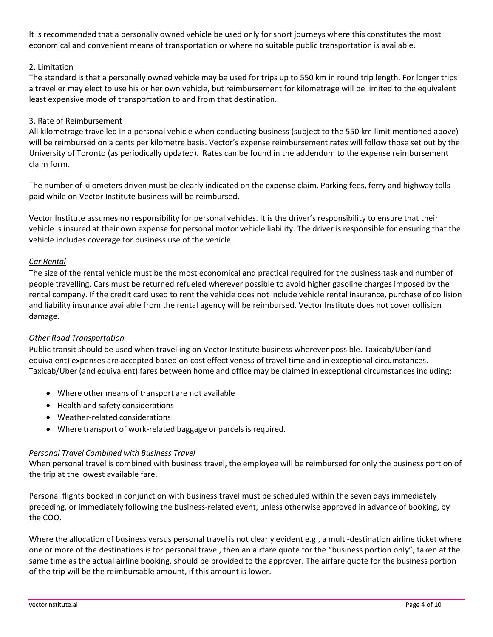It is recommended that a personally owned vehicle be used only for short journeys where this constitutes the most economical and convenient means of transportation or where no suitable public transportation is available.

# 2. Limitation

The standard is that a personally owned vehicle may be used for trips up to 550 km in round trip length. For longer trips a traveller may elect to use his or her own vehicle, but reimbursement for kilometrage will be limited to the equivalent least expensive mode of transportation to and from that destination.

# 3. Rate of Reimbursement

All kilometrage travelled in a personal vehicle when conducting business (subject to the 550 km limit mentioned above) will be reimbursed on a cents per kilometre basis. Vector's expense reimbursement rates will follow those set out by the University of Toronto (as periodically updated). Rates can be found in the addendum to the expense reimbursement claim form.

The number of kilometers driven must be clearly indicated on the expense claim. Parking fees, ferry and highway tolls paid while on Vector Institute business will be reimbursed.

Vector Institute assumes no responsibility for personal vehicles. It is the driver's responsibility to ensure that their vehicle is insured at their own expense for personal motor vehicle liability. The driver is responsible for ensuring that the vehicle includes coverage for business use of the vehicle.

# *Car Rental*

The size of the rental vehicle must be the most economical and practical required for the business task and number of people travelling. Cars must be returned refueled wherever possible to avoid higher gasoline charges imposed by the rental company. If the credit card used to rent the vehicle does not include vehicle rental insurance, purchase of collision and liability insurance available from the rental agency will be reimbursed. Vector Institute does not cover collision damage.

# *Other Road Transportation*

Public transit should be used when travelling on Vector Institute business wherever possible. Taxicab/Uber (and equivalent) expenses are accepted based on cost effectiveness of travel time and in exceptional circumstances. Taxicab/Uber (and equivalent) fares between home and office may be claimed in exceptional circumstances including:

- Where other means of transport are not available
- Health and safety considerations
- Weather-related considerations
- Where transport of work-related baggage or parcels is required.

# *Personal Travel Combined with Business Travel*

When personal travel is combined with business travel, the employee will be reimbursed for only the business portion of the trip at the lowest available fare.

Personal flights booked in conjunction with business travel must be scheduled within the seven days immediately preceding, or immediately following the business-related event, unless otherwise approved in advance of booking, by the COO.

Where the allocation of business versus personal travel is not clearly evident e.g., a multi-destination airline ticket where one or more of the destinations is for personal travel, then an airfare quote for the "business portion only", taken at the same time as the actual airline booking, should be provided to the approver. The airfare quote for the business portion of the trip will be the reimbursable amount, if this amount is lower.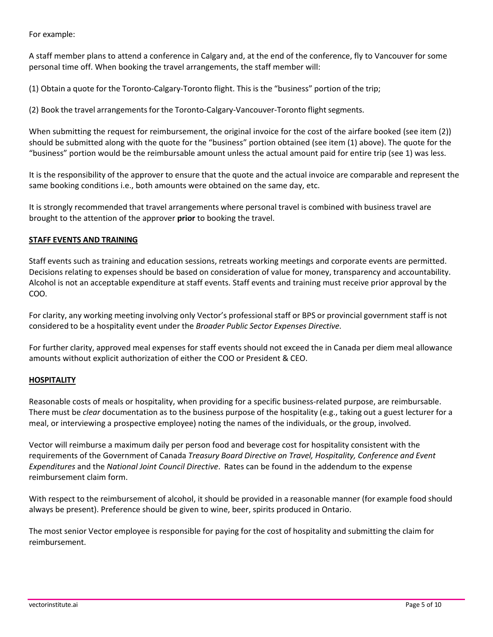For example:

A staff member plans to attend a conference in Calgary and, at the end of the conference, fly to Vancouver for some personal time off. When booking the travel arrangements, the staff member will:

(1) Obtain a quote for the Toronto-Calgary-Toronto flight. This is the "business" portion of the trip;

(2) Book the travel arrangementsfor the Toronto-Calgary-Vancouver-Toronto flight segments.

When submitting the request for reimbursement, the original invoice for the cost of the airfare booked (see item (2)) should be submitted along with the quote for the "business" portion obtained (see item (1) above). The quote for the "business" portion would be the reimbursable amount unless the actual amount paid for entire trip (see 1) was less.

It is the responsibility of the approver to ensure that the quote and the actual invoice are comparable and represent the same booking conditions i.e., both amounts were obtained on the same day, etc.

It is strongly recommended that travel arrangements where personal travel is combined with business travel are brought to the attention of the approver **prior** to booking the travel.

### **STAFF EVENTS AND TRAINING**

Staff events such as training and education sessions, retreats working meetings and corporate events are permitted. Decisions relating to expenses should be based on consideration of value for money, transparency and accountability. Alcohol is not an acceptable expenditure at staff events. Staff events and training must receive prior approval by the COO.

For clarity, any working meeting involving only Vector's professional staff or BPS or provincial government staff is not considered to be a hospitality event under the *Broader Public Sector Expenses Directive*.

For further clarity, approved meal expenses for staff events should not exceed the in Canada per diem meal allowance amounts without explicit authorization of either the COO or President & CEO.

#### **HOSPITALITY**

Reasonable costs of meals or hospitality, when providing for a specific business-related purpose, are reimbursable. There must be *clear* documentation as to the business purpose of the hospitality (e.g., taking out a guest lecturer for a meal, or interviewing a prospective employee) noting the names of the individuals, or the group, involved.

Vector will reimburse a maximum daily per person food and beverage cost for hospitality consistent with the requirements of the Government of Canada *Treasury Board Directive on Travel, Hospitality, Conference and Event Expenditures* and the *National Joint Council Directive*. Rates can be found in the addendum to the expense reimbursement claim form.

With respect to the reimbursement of alcohol, it should be provided in a reasonable manner (for example food should always be present). Preference should be given to wine, beer, spirits produced in Ontario.

The most senior Vector employee is responsible for paying for the cost of hospitality and submitting the claim for reimbursement.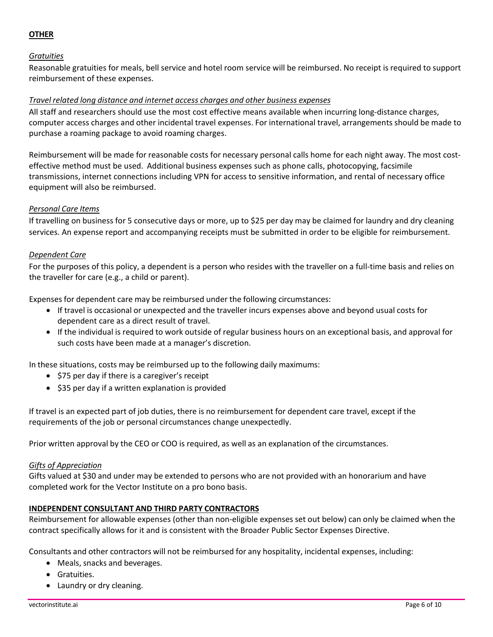# **OTHER**

# *Gratuities*

Reasonable gratuities for meals, bell service and hotel room service will be reimbursed. No receipt is required to support reimbursement of these expenses.

### *Travel related long distance and internet access charges and other business expenses*

All staff and researchers should use the most cost effective means available when incurring long-distance charges, computer access charges and other incidental travel expenses. For international travel, arrangements should be made to purchase a roaming package to avoid roaming charges.

Reimbursement will be made for reasonable costs for necessary personal calls home for each night away. The most costeffective method must be used. Additional business expenses such as phone calls, photocopying, facsimile transmissions, internet connections including VPN for access to sensitive information, and rental of necessary office equipment will also be reimbursed.

### *Personal Care Items*

If travelling on business for 5 consecutive days or more, up to \$25 per day may be claimed for laundry and dry cleaning services. An expense report and accompanying receipts must be submitted in order to be eligible for reimbursement.

### *Dependent Care*

For the purposes of this policy, a dependent is a person who resides with the traveller on a full-time basis and relies on the traveller for care (e.g., a child or parent).

Expensesfor dependent care may be reimbursed under the following circumstances:

- If travel is occasional or unexpected and the traveller incurs expenses above and beyond usual costs for dependent care as a direct result of travel.
- If the individual is required to work outside of regular business hours on an exceptional basis, and approval for such costs have been made at a manager's discretion.

In these situations, costs may be reimbursed up to the following daily maximums:

- \$75 per day if there is a caregiver's receipt
- \$35 per day if a written explanation is provided

If travel is an expected part of job duties, there is no reimbursement for dependent care travel, except if the requirements of the job or personal circumstances change unexpectedly.

Prior written approval by the CEO or COO is required, as well as an explanation of the circumstances.

#### *Gifts of Appreciation*

Gifts valued at \$30 and under may be extended to persons who are not provided with an honorarium and have completed work for the Vector Institute on a pro bono basis.

# **INDEPENDENT CONSULTANT AND THIRD PARTY CONTRACTORS**

Reimbursement for allowable expenses (other than non-eligible expenses set out below) can only be claimed when the contract specifically allows for it and is consistent with the Broader Public Sector Expenses Directive.

Consultants and other contractors will not be reimbursed for any hospitality, incidental expenses, including:

- Meals, snacks and beverages.
- Gratuities.
- Laundry or dry cleaning.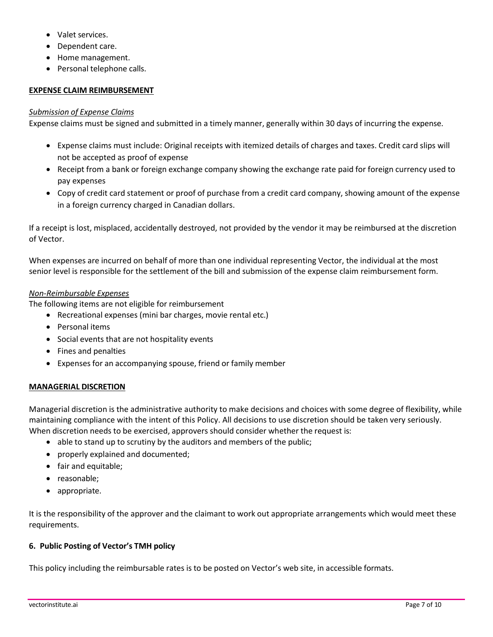- Valet services.
- Dependent care.
- Home management.
- Personal telephone calls.

#### **EXPENSE CLAIM REIMBURSEMENT**

#### *Submission of Expense Claims*

Expense claims must be signed and submitted in a timely manner, generally within 30 days of incurring the expense.

- Expense claims must include: Original receipts with itemized details of charges and taxes. Credit card slips will not be accepted as proof of expense
- Receipt from a bank or foreign exchange company showing the exchange rate paid for foreign currency used to pay expenses
- Copy of credit card statement or proof of purchase from a credit card company, showing amount of the expense in a foreign currency charged in Canadian dollars.

If a receipt is lost, misplaced, accidentally destroyed, not provided by the vendor it may be reimbursed at the discretion of Vector.

When expenses are incurred on behalf of more than one individual representing Vector, the individual at the most senior level is responsible for the settlement of the bill and submission of the expense claim reimbursement form.

# *Non-Reimbursable Expenses*

The following items are not eligible for reimbursement

- Recreational expenses (mini bar charges, movie rental etc.)
- Personal items
- Social events that are not hospitality events
- Fines and penalties
- Expenses for an accompanying spouse, friend or family member

# **MANAGERIAL DISCRETION**

Managerial discretion is the administrative authority to make decisions and choices with some degree of flexibility, while maintaining compliance with the intent of this Policy. All decisions to use discretion should be taken very seriously. When discretion needs to be exercised, approvers should consider whether the request is:

- able to stand up to scrutiny by the auditors and members of the public;
- properly explained and documented;
- fair and equitable;
- reasonable;
- appropriate.

It is the responsibility of the approver and the claimant to work out appropriate arrangements which would meet these requirements.

# **6. Public Posting of Vector's TMH policy**

This policy including the reimbursable rates is to be posted on Vector's web site, in accessible formats.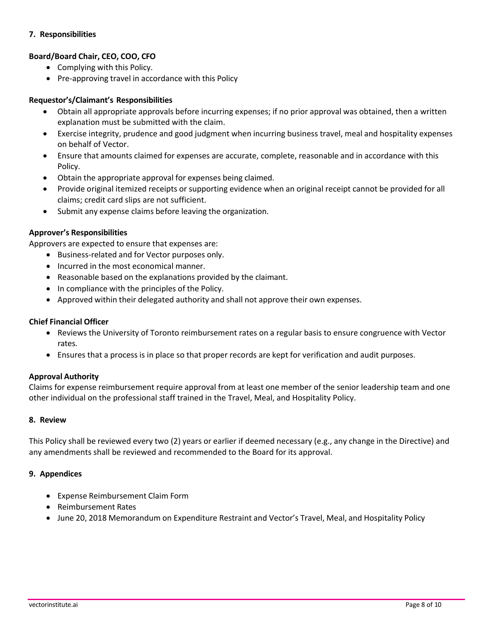# **7. Responsibilities**

# **Board/Board Chair, CEO, COO, CFO**

- Complying with this Policy.
- Pre-approving travel in accordance with this Policy

### **Requestor's/Claimant's Responsibilities**

- Obtain all appropriate approvals before incurring expenses; if no prior approval was obtained, then a written explanation must be submitted with the claim.
- Exercise integrity, prudence and good judgment when incurring business travel, meal and hospitality expenses on behalf of Vector.
- Ensure that amounts claimed for expenses are accurate, complete, reasonable and in accordance with this Policy.
- Obtain the appropriate approval for expenses being claimed.
- Provide original itemized receipts or supporting evidence when an original receipt cannot be provided for all claims; credit card slips are not sufficient.
- Submit any expense claims before leaving the organization.

# **Approver's Responsibilities**

Approvers are expected to ensure that expenses are:

- Business-related and for Vector purposes only.
- Incurred in the most economical manner.
- Reasonable based on the explanations provided by the claimant.
- In compliance with the principles of the Policy.
- Approved within their delegated authority and shall not approve their own expenses.

### **Chief Financial Officer**

- Reviews the University of Toronto reimbursement rates on a regular basis to ensure congruence with Vector rates.
- Ensures that a process is in place so that proper records are kept for verification and audit purposes.

# **Approval Authority**

Claims for expense reimbursement require approval from at least one member of the senior leadership team and one other individual on the professional staff trained in the Travel, Meal, and Hospitality Policy.

#### **8. Review**

This Policy shall be reviewed every two (2) years or earlier if deemed necessary (e.g., any change in the Directive) and any amendments shall be reviewed and recommended to the Board for its approval.

#### **9. Appendices**

- Expense Reimbursement Claim Form
- Reimbursement Rates
- June 20, 2018 Memorandum on Expenditure Restraint and Vector's Travel, Meal, and Hospitality Policy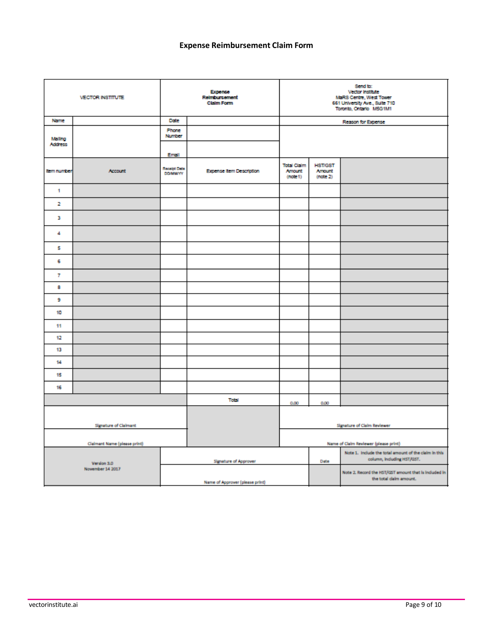# **Expense Reimbursement Claim Form**

| <b>VECTOR INSTITUTE</b>         |         | Expense<br>Reimburgement<br><b>Claim Form</b> |                                 | Send to:<br>Vector institute<br>MaRS Centre, West Tower<br>661 University Ave., Suite 710<br>Toronto, Ontario M5G1M1 |                                      |                                                                                     |
|---------------------------------|---------|-----------------------------------------------|---------------------------------|----------------------------------------------------------------------------------------------------------------------|--------------------------------------|-------------------------------------------------------------------------------------|
| Name                            |         | Date                                          |                                 |                                                                                                                      |                                      | Reason for Expense                                                                  |
| Maling<br>Address               |         | Phone<br>Number                               |                                 |                                                                                                                      |                                      |                                                                                     |
|                                 |         | Email                                         |                                 |                                                                                                                      |                                      |                                                                                     |
| <b>tem number</b>               | Account | Receipt Date<br><b>DOMMYY</b>                 | <b>Expense Item Description</b> | <b>Total Claim</b><br><b>Amount</b><br>(note 1)                                                                      | <b>HST/GST</b><br>Amount<br>(note 2) |                                                                                     |
| 1                               |         |                                               |                                 |                                                                                                                      |                                      |                                                                                     |
| 2                               |         |                                               |                                 |                                                                                                                      |                                      |                                                                                     |
| з                               |         |                                               |                                 |                                                                                                                      |                                      |                                                                                     |
| 4                               |         |                                               |                                 |                                                                                                                      |                                      |                                                                                     |
| 5                               |         |                                               |                                 |                                                                                                                      |                                      |                                                                                     |
| 6                               |         |                                               |                                 |                                                                                                                      |                                      |                                                                                     |
| $\overline{t}$                  |         |                                               |                                 |                                                                                                                      |                                      |                                                                                     |
| 8                               |         |                                               |                                 |                                                                                                                      |                                      |                                                                                     |
| 9                               |         |                                               |                                 |                                                                                                                      |                                      |                                                                                     |
| 10                              |         |                                               |                                 |                                                                                                                      |                                      |                                                                                     |
| 11                              |         |                                               |                                 |                                                                                                                      |                                      |                                                                                     |
| 12                              |         |                                               |                                 |                                                                                                                      |                                      |                                                                                     |
| 13                              |         |                                               |                                 |                                                                                                                      |                                      |                                                                                     |
| 14                              |         |                                               |                                 |                                                                                                                      |                                      |                                                                                     |
| 15                              |         |                                               |                                 |                                                                                                                      |                                      |                                                                                     |
| 16                              |         |                                               |                                 |                                                                                                                      |                                      |                                                                                     |
|                                 |         | Total                                         | 0.00                            | 0.00                                                                                                                 |                                      |                                                                                     |
| <b>Signature of Claimant</b>    |         |                                               |                                 | <b>Signature of Claim Reviewer</b>                                                                                   |                                      |                                                                                     |
| Claimant Name (please print)    |         |                                               |                                 |                                                                                                                      |                                      | Name of Claim Reviewer (please print)                                               |
| Version 3.0<br>November 14 2017 |         |                                               | <b>Signature of Approver</b>    |                                                                                                                      | Date                                 | Note 1. Include the total amount of the claim in this<br>column, Including HST/GST. |
|                                 |         |                                               | Name of Approver (please print) |                                                                                                                      |                                      | Note 2. Record the HST/GST amount that is included in<br>the total claim amount.    |